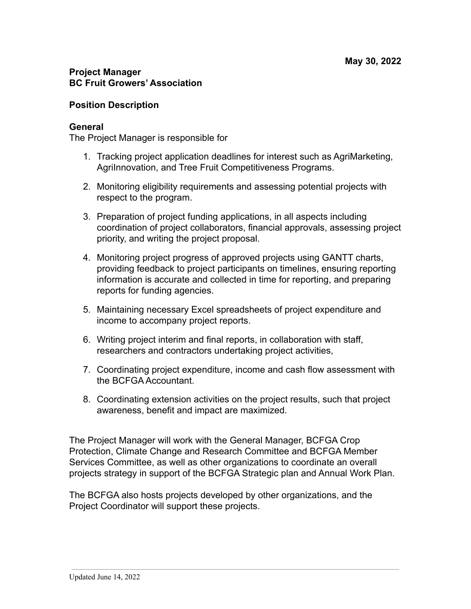## **Project Manager BC Fruit Growers' Association**

## **Position Description**

### **General**

The Project Manager is responsible for

- 1. Tracking project application deadlines for interest such as AgriMarketing, AgriInnovation, and Tree Fruit Competitiveness Programs.
- 2. Monitoring eligibility requirements and assessing potential projects with respect to the program.
- 3. Preparation of project funding applications, in all aspects including coordination of project collaborators, financial approvals, assessing project priority, and writing the project proposal.
- 4. Monitoring project progress of approved projects using GANTT charts, providing feedback to project participants on timelines, ensuring reporting information is accurate and collected in time for reporting, and preparing reports for funding agencies.
- 5. Maintaining necessary Excel spreadsheets of project expenditure and income to accompany project reports.
- 6. Writing project interim and final reports, in collaboration with staff, researchers and contractors undertaking project activities,
- 7. Coordinating project expenditure, income and cash flow assessment with the BCFGA Accountant.
- 8. Coordinating extension activities on the project results, such that project awareness, benefit and impact are maximized.

The Project Manager will work with the General Manager, BCFGA Crop Protection, Climate Change and Research Committee and BCFGA Member Services Committee, as well as other organizations to coordinate an overall projects strategy in support of the BCFGA Strategic plan and Annual Work Plan.

The BCFGA also hosts projects developed by other organizations, and the Project Coordinator will support these projects.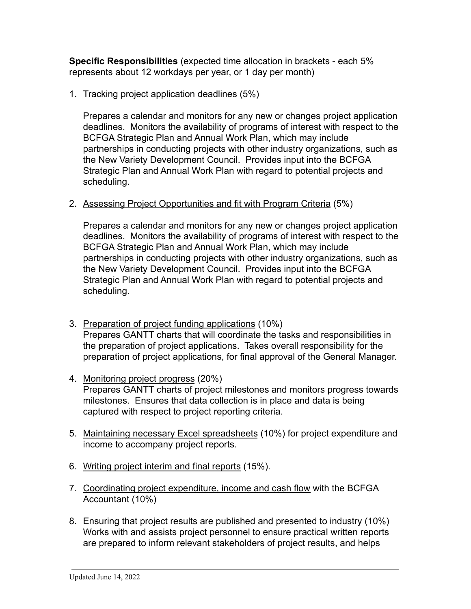**Specific Responsibilities** (expected time allocation in brackets - each 5% represents about 12 workdays per year, or 1 day per month)

# 1. Tracking project application deadlines (5%)

Prepares a calendar and monitors for any new or changes project application deadlines. Monitors the availability of programs of interest with respect to the BCFGA Strategic Plan and Annual Work Plan, which may include partnerships in conducting projects with other industry organizations, such as the New Variety Development Council. Provides input into the BCFGA Strategic Plan and Annual Work Plan with regard to potential projects and scheduling.

2. Assessing Project Opportunities and fit with Program Criteria (5%)

Prepares a calendar and monitors for any new or changes project application deadlines. Monitors the availability of programs of interest with respect to the BCFGA Strategic Plan and Annual Work Plan, which may include partnerships in conducting projects with other industry organizations, such as the New Variety Development Council. Provides input into the BCFGA Strategic Plan and Annual Work Plan with regard to potential projects and scheduling.

- 3. Preparation of project funding applications (10%) Prepares GANTT charts that will coordinate the tasks and responsibilities in the preparation of project applications. Takes overall responsibility for the preparation of project applications, for final approval of the General Manager.
- 4. Monitoring project progress (20%) Prepares GANTT charts of project milestones and monitors progress towards milestones. Ensures that data collection is in place and data is being captured with respect to project reporting criteria.
- 5. Maintaining necessary Excel spreadsheets (10%) for project expenditure and income to accompany project reports.
- 6. Writing project interim and final reports (15%).
- 7. Coordinating project expenditure, income and cash flow with the BCFGA Accountant (10%)
- 8. Ensuring that project results are published and presented to industry (10%) Works with and assists project personnel to ensure practical written reports are prepared to inform relevant stakeholders of project results, and helps